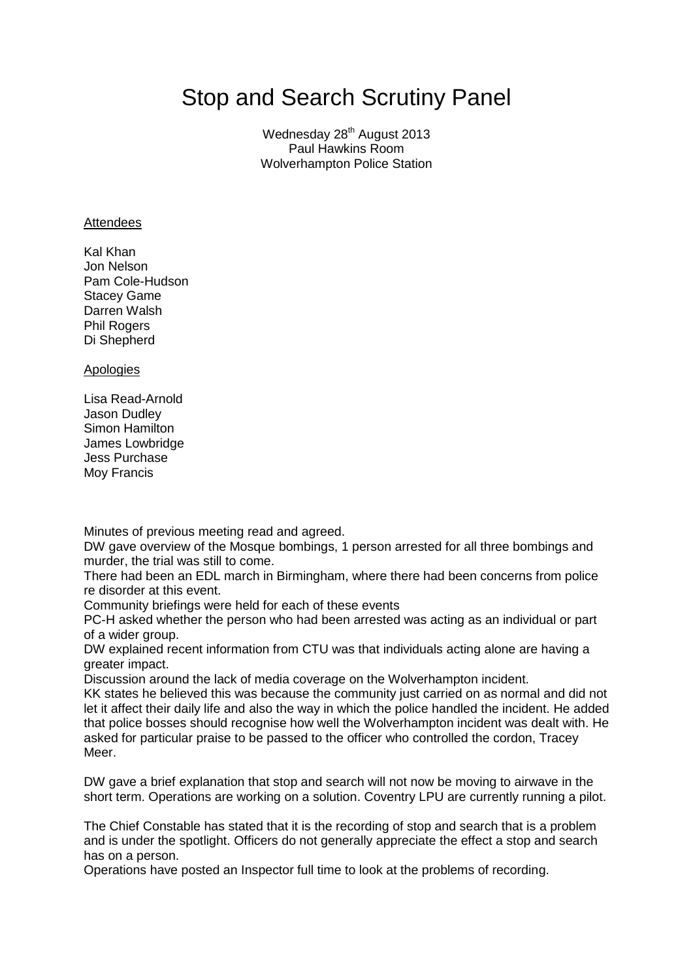# Stop and Search Scrutiny Panel

Wednesday 28<sup>th</sup> August 2013 Paul Hawkins Room Wolverhampton Police Station

#### **Attendees**

Kal Khan Jon Nelson Pam Cole-Hudson Stacey Game Darren Walsh Phil Rogers Di Shepherd

#### Apologies

Lisa Read-Arnold Jason Dudley Simon Hamilton James Lowbridge Jess Purchase Moy Francis

Minutes of previous meeting read and agreed.

DW gave overview of the Mosque bombings, 1 person arrested for all three bombings and murder, the trial was still to come.

There had been an EDL march in Birmingham, where there had been concerns from police re disorder at this event.

Community briefings were held for each of these events

PC-H asked whether the person who had been arrested was acting as an individual or part of a wider group.

DW explained recent information from CTU was that individuals acting alone are having a greater impact.

Discussion around the lack of media coverage on the Wolverhampton incident.

KK states he believed this was because the community just carried on as normal and did not let it affect their daily life and also the way in which the police handled the incident. He added that police bosses should recognise how well the Wolverhampton incident was dealt with. He asked for particular praise to be passed to the officer who controlled the cordon, Tracey Meer.

DW gave a brief explanation that stop and search will not now be moving to airwave in the short term. Operations are working on a solution. Coventry LPU are currently running a pilot.

The Chief Constable has stated that it is the recording of stop and search that is a problem and is under the spotlight. Officers do not generally appreciate the effect a stop and search has on a person.

Operations have posted an Inspector full time to look at the problems of recording.